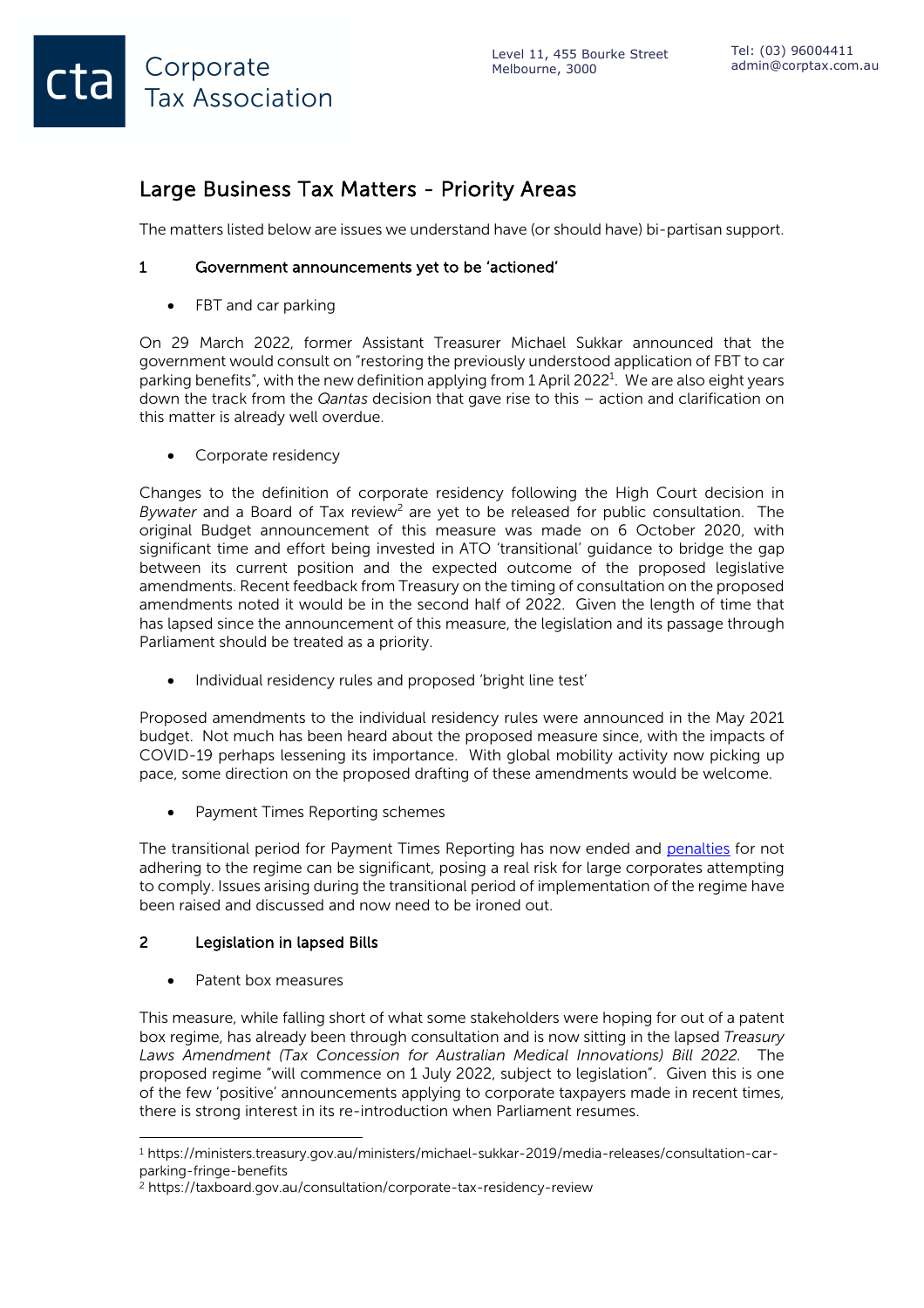## Large Business Tax Matters - Priority Areas

The matters listed below are issues we understand have (or should have) bi-partisan support.

## 1 Government announcements yet to be 'actioned'

• FBT and car parking

Corporate

**Tax Association** 

On 29 March 2022, former Assistant Treasurer Michael Sukkar announced that the government would consult on "restoring the previously understood application of FBT to car parking benefits", with the new definition applying from 1 April 2022<sup>1</sup>. We are also eight years down the track from the *Qantas* decision that gave rise to this – action and clarification on this matter is already well overdue.

• Corporate residency

Changes to the definition of corporate residency following the High Court decision in *Bywater* and a Board of Tax review<sup>2</sup> are yet to be released for public consultation. The original Budget announcement of this measure was made on 6 October 2020, with significant time and effort being invested in ATO 'transitional' guidance to bridge the gap between its current position and the expected outcome of the proposed legislative amendments. Recent feedback from Treasury on the timing of consultation on the proposed amendments noted it would be in the second half of 2022. Given the length of time that has lapsed since the announcement of this measure, the legislation and its passage through Parliament should be treated as a priority.

• Individual residency rules and proposed 'bright line test'

Proposed amendments to the individual residency rules were announced in the May 2021 budget. Not much has been heard about the proposed measure since, with the impacts of COVID-19 perhaps lessening its importance. With global mobility activity now picking up pace, some direction on the proposed drafting of these amendments would be welcome.

• Payment Times Reporting schemes

The transitional period for Payment Times Reporting has now ended and penalties for not adhering to the regime can be significant, posing a real risk for large corporates attempting to comply. Issues arising during the transitional period of implementation of the regime have been raised and discussed and now need to be ironed out.

## 2 Legislation in lapsed Bills

Patent box measures

This measure, while falling short of what some stakeholders were hoping for out of a patent box regime, has already been through consultation and is now sitting in the lapsed *Treasury Laws Amendment (Tax Concession for Australian Medical Innovations) Bill 2022.* The proposed regime "will commence on 1 July 2022, subject to legislation". Given this is one of the few 'positive' announcements applying to corporate taxpayers made in recent times, there is strong interest in its re-introduction when Parliament resumes.

<sup>1</sup> https://ministers.treasury.gov.au/ministers/michael-sukkar-2019/media-releases/consultation-carparking-fringe-benefits

<sup>2</sup> https://taxboard.gov.au/consultation/corporate-tax-residency-review